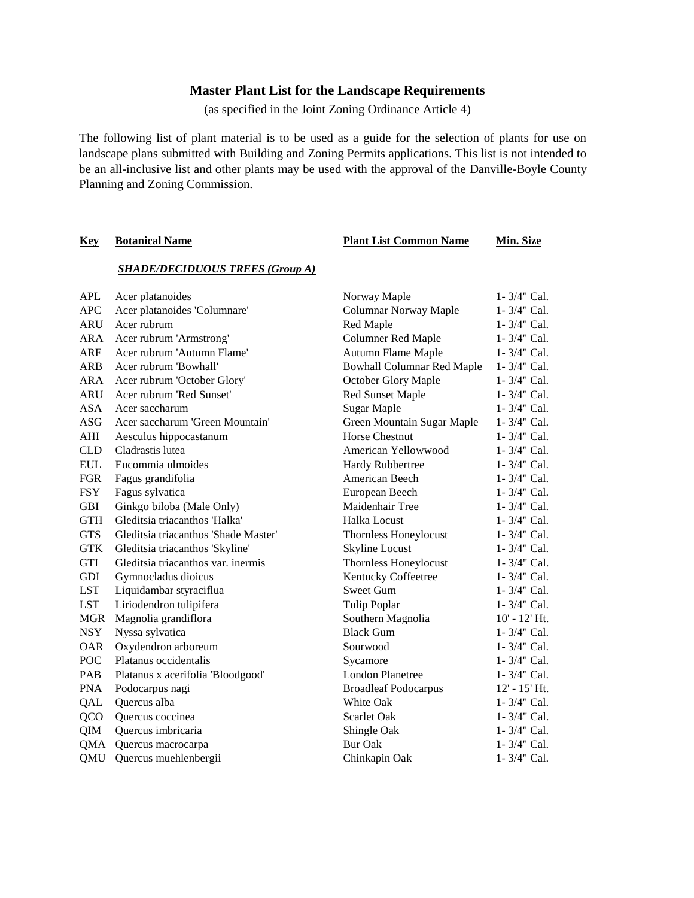## **Master Plant List for the Landscape Requirements**

(as specified in the Joint Zoning Ordinance Article 4)

The following list of plant material is to be used as a guide for the selection of plants for use on landscape plans submitted with Building and Zoning Permits applications. This list is not intended to be an all-inclusive list and other plants may be used with the approval of the Danville-Boyle County Planning and Zoning Commission.

#### **Key Botanical Name Plant List Common Name Min. Size**

#### *SHADE/DECIDUOUS TREES (Group A)*

| <b>APL</b> | Acer platanoides                     | Norway Maple                      | 1-3/4" Cal.       |
|------------|--------------------------------------|-----------------------------------|-------------------|
| APC        | Acer platanoides 'Columnare'         | Columnar Norway Maple             | $1 - 3/4$ " Cal.  |
| ARU        | Acer rubrum                          | Red Maple                         | 1-3/4" Cal.       |
| ARA        | Acer rubrum 'Armstrong'              | <b>Columner Red Maple</b>         | 1-3/4" Cal.       |
| <b>ARF</b> | Acer rubrum 'Autumn Flame'           | <b>Autumn Flame Maple</b>         | 1-3/4" Cal.       |
| <b>ARB</b> | Acer rubrum 'Bowhall'                | <b>Bowhall Columnar Red Maple</b> | 1-3/4" Cal.       |
| ARA        | Acer rubrum 'October Glory'          | October Glory Maple               | $1 - 3/4$ " Cal.  |
| <b>ARU</b> | Acer rubrum 'Red Sunset'             | <b>Red Sunset Maple</b>           | $1 - 3/4$ " Cal.  |
| <b>ASA</b> | Acer saccharum                       | <b>Sugar Maple</b>                | $1 - 3/4$ " Cal.  |
| ASG        | Acer saccharum 'Green Mountain'      | Green Mountain Sugar Maple        | 1-3/4" Cal.       |
| AHI        | Aesculus hippocastanum               | <b>Horse Chestnut</b>             | 1-3/4" Cal.       |
| <b>CLD</b> | Cladrastis lutea                     | American Yellowwood               | 1-3/4" Cal.       |
| <b>EUL</b> | Eucommia ulmoides                    | Hardy Rubbertree                  | 1-3/4" Cal.       |
| <b>FGR</b> | Fagus grandifolia                    | American Beech                    | 1-3/4" Cal.       |
| <b>FSY</b> | Fagus sylvatica                      | European Beech                    | $1 - 3/4$ " Cal.  |
| <b>GBI</b> | Ginkgo biloba (Male Only)            | Maidenhair Tree                   | 1-3/4" Cal.       |
| <b>GTH</b> | Gleditsia triacanthos 'Halka'        | Halka Locust                      | 1-3/4" Cal.       |
| <b>GTS</b> | Gleditsia triacanthos 'Shade Master' | Thornless Honeylocust             | 1-3/4" Cal.       |
| <b>GTK</b> | Gleditsia triacanthos 'Skyline'      | Skyline Locust                    | 1-3/4" Cal.       |
| GTI        | Gleditsia triacanthos var. inermis   | Thornless Honeylocust             | 1-3/4" Cal.       |
| <b>GDI</b> | Gymnocladus dioicus                  | Kentucky Coffeetree               | 1-3/4" Cal.       |
| <b>LST</b> | Liquidambar styraciflua              | <b>Sweet Gum</b>                  | 1-3/4" Cal.       |
| <b>LST</b> | Liriodendron tulipifera              | Tulip Poplar                      | 1-3/4" Cal.       |
| MGR        | Magnolia grandiflora                 | Southern Magnolia                 | $10'$ - $12'$ Ht. |
| <b>NSY</b> | Nyssa sylvatica                      | <b>Black Gum</b>                  | 1-3/4" Cal.       |
| <b>OAR</b> | Oxydendron arboreum                  | Sourwood                          | 1-3/4" Cal.       |
| POC        | Platanus occidentalis                | Sycamore                          | 1-3/4" Cal.       |
| PAB        | Platanus x acerifolia 'Bloodgood'    | <b>London Planetree</b>           | 1-3/4" Cal.       |
| <b>PNA</b> | Podocarpus nagi                      | <b>Broadleaf Podocarpus</b>       | 12' - 15' Ht.     |
| QAL        | Quercus alba                         | White Oak                         | 1-3/4" Cal.       |
| QCO        | Quercus coccinea                     | Scarlet Oak                       | 1-3/4" Cal.       |
| QIM        | Quercus imbricaria                   | Shingle Oak                       | 1-3/4" Cal.       |
| QMA        | Quercus macrocarpa                   | Bur Oak                           | $1 - 3/4"$ Cal.   |
| QMU        | Quercus muehlenbergii                | Chinkapin Oak                     | 1-3/4" Cal.       |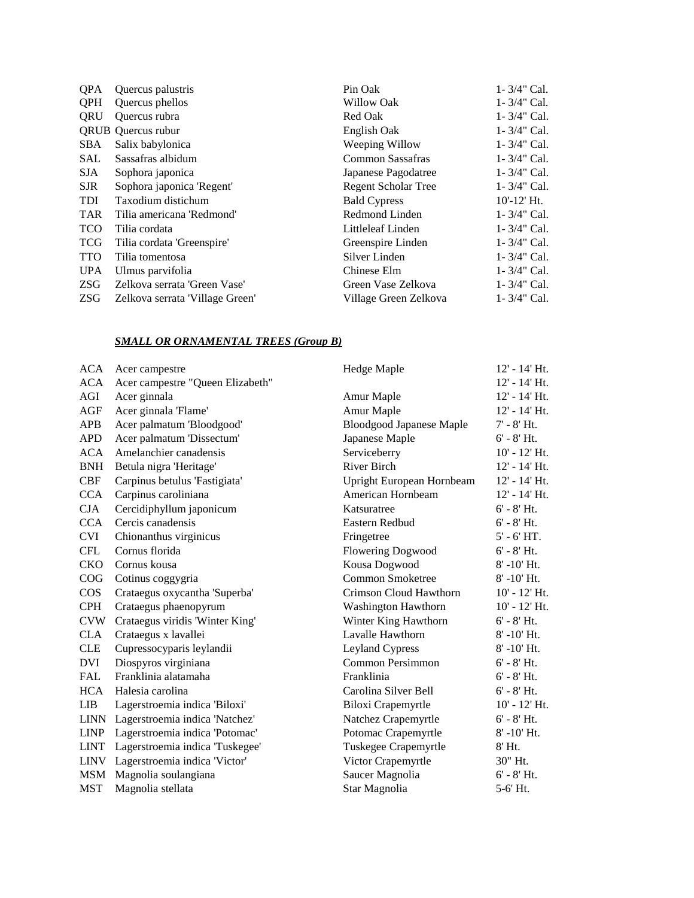| <b>OPA</b> | Quercus palustris               | Pin Oak                    | $1 - 3/4$ " Cal. |
|------------|---------------------------------|----------------------------|------------------|
| <b>OPH</b> | Quercus phellos                 | Willow Oak                 | $1 - 3/4"$ Cal.  |
| ORU        | Quercus rubra                   | Red Oak                    | $1 - 3/4$ " Cal. |
|            | <b>QRUB</b> Quercus rubur       | English Oak                | $1 - 3/4$ " Cal. |
| SBA        | Salix babylonica                | Weeping Willow             | $1 - 3/4$ " Cal. |
| SAL        | Sassafras albidum               | Common Sassafras           | $1 - 3/4$ " Cal. |
| SJA.       | Sophora japonica                | Japanese Pagodatree        | $1 - 3/4$ " Cal. |
| <b>SJR</b> | Sophora japonica 'Regent'       | <b>Regent Scholar Tree</b> | $1 - 3/4$ " Cal. |
| <b>TDI</b> | Taxodium distichum              | <b>Bald Cypress</b>        | $10'$ -12' Ht.   |
| <b>TAR</b> | Tilia americana 'Redmond'       | Redmond Linden             | $1 - 3/4$ " Cal. |
| <b>TCO</b> | Tilia cordata                   | Littleleaf Linden          | $1 - 3/4$ " Cal. |
| <b>TCG</b> | Tilia cordata 'Greenspire'      | Greenspire Linden          | $1 - 3/4$ " Cal. |
| <b>TTO</b> | Tilia tomentosa                 | Silver Linden              | $1 - 3/4"$ Cal.  |
| <b>UPA</b> | Ulmus parvifolia                | Chinese Elm                | $1 - 3/4$ " Cal. |
| ZSG        | Zelkova serrata 'Green Vase'    | Green Vase Zelkova         | $1 - 3/4"$ Cal.  |
| <b>ZSG</b> | Zelkova serrata 'Village Green' | Village Green Zelkova      | 1 - 3/4" Cal.    |

## *SMALL OR ORNAMENTAL TREES (Group B)*

|             | ACA Acer campestre                  | Hedge Maple                     | 12' - 14' Ht.     |
|-------------|-------------------------------------|---------------------------------|-------------------|
| ACA         | Acer campestre "Queen Elizabeth"    |                                 | 12' - 14' Ht.     |
| AGI         | Acer ginnala                        | Amur Maple                      | 12' - 14' Ht.     |
| AGF         | Acer ginnala 'Flame'                | Amur Maple                      | 12' - 14' Ht.     |
| APB         | Acer palmatum 'Bloodgood'           | <b>Bloodgood Japanese Maple</b> | $7' - 8'$ Ht.     |
| <b>APD</b>  | Acer palmatum 'Dissectum'           | Japanese Maple                  | $6' - 8'$ Ht.     |
| ACA         | Amelanchier canadensis              | Serviceberry                    | $10'$ - $12'$ Ht. |
| <b>BNH</b>  | Betula nigra 'Heritage'             | <b>River Birch</b>              | 12' - 14' Ht.     |
| CBF         | Carpinus betulus 'Fastigiata'       | Upright European Hornbeam       | 12' - 14' Ht.     |
| <b>CCA</b>  | Carpinus caroliniana                | American Hornbeam               | 12' - 14' Ht.     |
| CJA         | Cercidiphyllum japonicum            | Katsuratree                     | $6' - 8'$ Ht.     |
| <b>CCA</b>  | Cercis canadensis                   | Eastern Redbud                  | $6' - 8'$ Ht.     |
| <b>CVI</b>  | Chionanthus virginicus              | Fringetree                      | $5' - 6' HT.$     |
| <b>CFL</b>  | Cornus florida                      | <b>Flowering Dogwood</b>        | $6' - 8'$ Ht.     |
| <b>CKO</b>  | Cornus kousa                        | Kousa Dogwood                   | $8' - 10'$ Ht.    |
| COG         | Cotinus coggygria                   | <b>Common Smoketree</b>         | $8' - 10'$ Ht.    |
| $\cos$      | Crataegus oxycantha 'Superba'       | Crimson Cloud Hawthorn          | $10'$ - $12'$ Ht. |
| <b>CPH</b>  | Crataegus phaenopyrum               | <b>Washington Hawthorn</b>      | $10'$ - $12'$ Ht. |
| <b>CVW</b>  | Crataegus viridis 'Winter King'     | Winter King Hawthorn            | $6' - 8'$ Ht.     |
| <b>CLA</b>  | Crataegus x lavallei                | Lavalle Hawthorn                | $8' - 10'$ Ht.    |
| <b>CLE</b>  | Cupressocyparis leylandii           | Leyland Cypress                 | $8' - 10'$ Ht.    |
| <b>DVI</b>  | Diospyros virginiana                | Common Persimmon                | $6' - 8'$ Ht.     |
| <b>FAL</b>  | Franklinia alatamaha                | Franklinia                      | $6' - 8'$ Ht.     |
| <b>HCA</b>  | Halesia carolina                    | Carolina Silver Bell            | $6' - 8'$ Ht.     |
| LIB.        | Lagerstroemia indica 'Biloxi'       | Biloxi Crapemyrtle              | $10'$ - $12'$ Ht. |
|             | LINN Lagerstroemia indica 'Natchez' | Natchez Crapemyrtle             | $6' - 8'$ Ht.     |
| <b>LINP</b> | Lagerstroemia indica 'Potomac'      | Potomac Crapemyrtle             | $8' - 10'$ Ht.    |
| <b>LINT</b> | Lagerstroemia indica 'Tuskegee'     | Tuskegee Crapemyrtle            | 8' Ht.            |
|             | LINV Lagerstroemia indica 'Victor'  | Victor Crapemyrtle              | 30" Ht.           |
| MSM         | Magnolia soulangiana                | Saucer Magnolia                 | $6' - 8'$ Ht.     |
| <b>MST</b>  | Magnolia stellata                   | Star Magnolia                   | 5-6' Ht.          |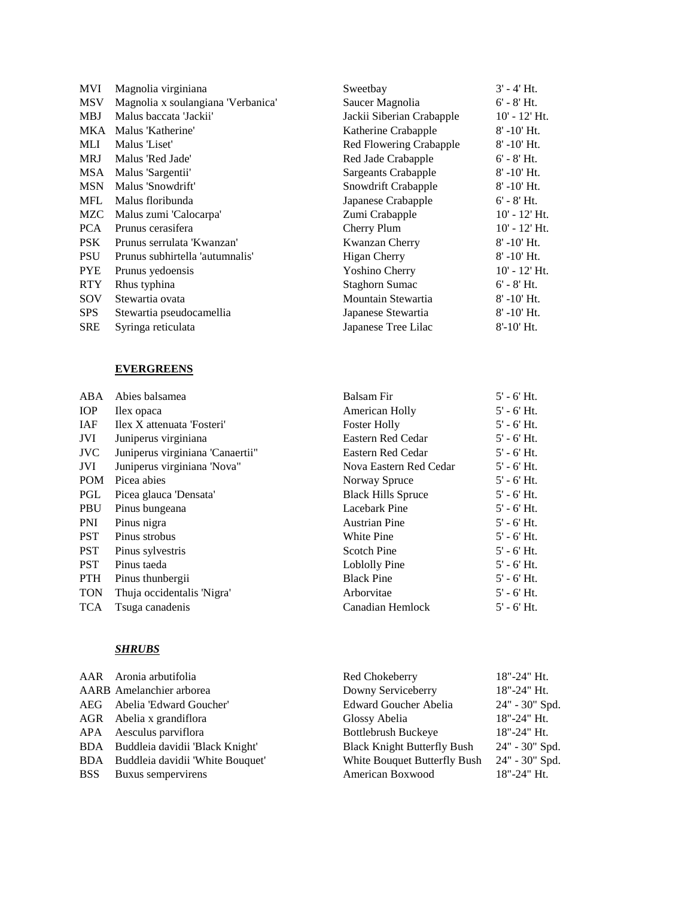| MVI        | Magnolia virginiana                | Sweetbay                  | $3' - 4'$ Ht.     |
|------------|------------------------------------|---------------------------|-------------------|
| <b>MSV</b> | Magnolia x soulangiana 'Verbanica' | Saucer Magnolia           | $6' - 8'$ Ht.     |
| <b>MBJ</b> | Malus baccata 'Jackii'             | Jackii Siberian Crabapple | $10'$ - $12'$ Ht. |
| MKA        | Malus 'Katherine'                  | Katherine Crabapple       | $8' - 10'$ Ht.    |
| MLI        | Malus 'Liset'                      | Red Flowering Crabapple   | $8' - 10'$ Ht.    |
| <b>MRJ</b> | Malus 'Red Jade'                   | Red Jade Crabapple        | $6' - 8'$ Ht.     |
| MSA        | Malus 'Sargentii'                  | Sargeants Crabapple       | $8' - 10'$ Ht.    |
| <b>MSN</b> | Malus 'Snowdrift'                  | Snowdrift Crabapple       | $8' - 10'$ Ht.    |
| <b>MFL</b> | Malus floribunda                   | Japanese Crabapple        | $6'$ - $8'$ Ht.   |
| MZC        | Malus zumi 'Calocarpa'             | Zumi Crabapple            | $10'$ - $12'$ Ht. |
| <b>PCA</b> | Prunus cerasifera                  | Cherry Plum               | $10'$ - $12'$ Ht. |
| <b>PSK</b> | Prunus serrulata 'Kwanzan'         | Kwanzan Cherry            | $8' - 10'$ Ht.    |
| <b>PSU</b> | Prunus subhirtella 'autumnalis'    | <b>Higan Cherry</b>       | $8' - 10'$ Ht.    |
| <b>PYE</b> | Prunus yedoensis                   | Yoshino Cherry            | $10'$ - $12'$ Ht. |
| <b>RTY</b> | Rhus typhina                       | Staghorn Sumac            | $6' - 8'$ Ht.     |
| SOV        | Stewartia ovata                    | Mountain Stewartia        | $8' - 10'$ Ht.    |
| <b>SPS</b> | Stewartia pseudocamellia           | Japanese Stewartia        | $8' - 10'$ Ht.    |
| <b>SRE</b> | Syringa reticulata                 | Japanese Tree Lilac       | $8' - 10'$ Ht.    |

## **EVERGREENS**

| $\rm{ABA}$ | Abies balsamea                    | <b>Balsam Fir</b>         | $5'$ - $6'$ Ht. |
|------------|-----------------------------------|---------------------------|-----------------|
| <b>IOP</b> | Ilex opaca                        | American Holly            | $5'$ - $6'$ Ht. |
| <b>IAF</b> | Ilex X attenuata 'Fosteri'        | <b>Foster Holly</b>       | $5'$ - $6'$ Ht. |
| JVI        | Juniperus virginiana              | Eastern Red Cedar         | $5'$ - $6'$ Ht. |
| JVC        | Juniperus virginiana 'Canaertii'' | Eastern Red Cedar         | $5'$ - $6'$ Ht. |
| JVI        | Juniperus virginiana 'Nova"       | Nova Eastern Red Cedar    | $5'$ - $6'$ Ht. |
| <b>POM</b> | Picea abies                       | Norway Spruce             | $5'$ - $6'$ Ht. |
| PGL        | Picea glauca 'Densata'            | <b>Black Hills Spruce</b> | $5'$ - $6'$ Ht. |
| PBU        | Pinus bungeana                    | Lacebark Pine             | $5'$ - $6'$ Ht. |
| PNI        | Pinus nigra                       | <b>Austrian Pine</b>      | $5'$ - $6'$ Ht. |
| <b>PST</b> | Pinus strobus                     | White Pine                | $5'$ - $6'$ Ht. |
| <b>PST</b> | Pinus sylvestris                  | Scotch Pine               | $5'$ - $6'$ Ht. |
| <b>PST</b> | Pinus taeda                       | Loblolly Pine             | $5'$ - $6'$ Ht. |
| <b>PTH</b> | Pinus thunbergii                  | <b>Black Pine</b>         | $5'$ - $6'$ Ht. |
| <b>TON</b> | Thuja occidentalis 'Nigra'        | Arborvitae                | $5'$ - $6'$ Ht. |
| <b>TCA</b> | Tsuga canadenis                   | Canadian Hemlock          | $5'$ - $6'$ Ht. |

# *SHRUBS*

| AAR Aronia arbutifolia               | Red Chokeberry                     | $18" - 24"$ Ht. |
|--------------------------------------|------------------------------------|-----------------|
| AARB Amelanchier arborea             | Downy Serviceberry                 | $18" - 24"$ Ht. |
| AEG Abelia 'Edward Goucher'          | Edward Goucher Abelia              | 24" - 30" Spd.  |
| AGR Abelia x grandiflora             | Glossy Abelia                      | $18" - 24"$ Ht. |
| APA Aesculus parviflora              | <b>Bottlebrush Buckeye</b>         | $18" - 24"$ Ht. |
| BDA Buddleia davidii 'Black Knight'  | <b>Black Knight Butterfly Bush</b> | 24" - 30" Spd.  |
| BDA Buddleia davidii 'White Bouquet' | White Bouquet Butterfly Bush       | 24" - 30" Spd.  |
| <b>BSS</b> Buxus sempervirens        | American Boxwood                   | $18" - 24"$ Ht. |
|                                      |                                    |                 |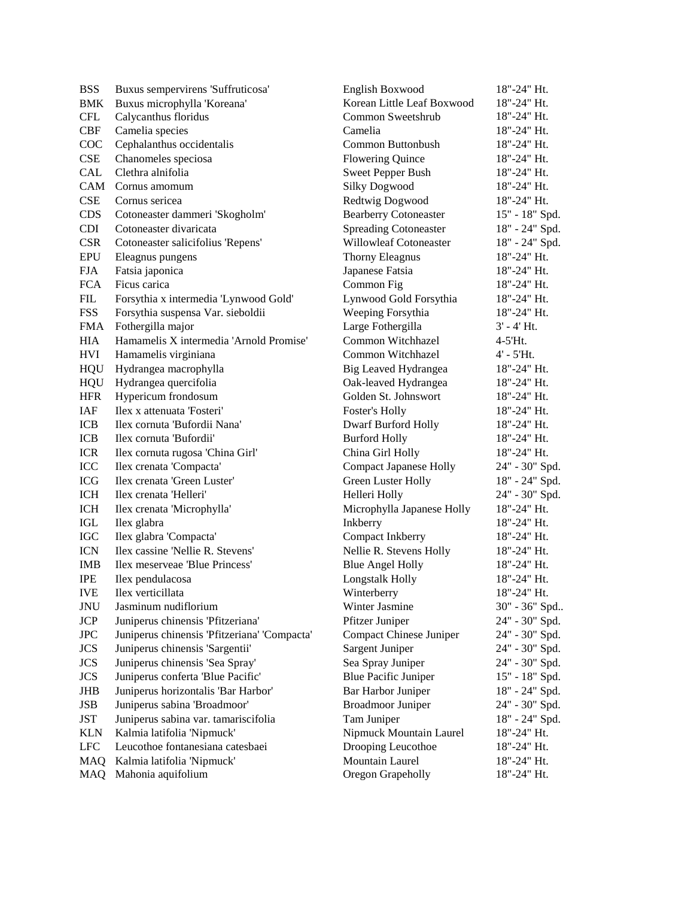**BSS** BMK Buxus microphylla 'Koreana' CFL Buxus sempervirens 'Suffruticosa' Calycanthus floridus CBF Camelia species Camelia 18"-24" Ht. COC Cephalanthus occidentalis Common Buttonbush 18"-24" Ht. CSE Chanomeles speciosa Flowering Quince 18"-24" Ht. CAL Clethra alnifolia Sweet Pepper Bush 18"-24" Ht. CAM Cornus amomum Silky Dogwood 18"-24" Ht. CSE Cornus sericea Redtwig Dogwood 18"-24" Ht. CDS Cotoneaster dammeri 'Skogholm' Bearberry Cotoneaster 15" - 18" Spd. CDI Cotoneaster divaricata Spreading Cotoneaster 18" - 24" Spd. CSR Cotoneaster salicifolius 'Repens' Willowleaf Cotoneaster 18" - 24" Spd. EPU Eleagnus pungens Thorny Eleagnus 18"-24" Ht. FJA Fatsia japonica Japanese Fatsia 18"-24" Ht. FCA Ficus carica Common Fig 18"-24" Ht. FIL Forsythia x intermedia 'Lynwood Gold' Lynwood Gold Forsythia 18"-24" Ht. FSS Forsythia suspensa Var. sieboldii Weeping Forsythia 18"-24" Ht. FMA Fothergilla major Large Fothergilla 3' - 4' Ht. HIA Hamamelis X intermedia 'Arnold Promise' Common Witchhazel 4-5'Ht. HVI Hamamelis virginiana Common Witchhazel 4' - 5'Ht. HQU Hydrangea macrophylla Big Leaved Hydrangea 18"-24" Ht. HQU Hydrangea quercifolia Oak-leaved Hydrangea 18"-24" Ht. HFR Hypericum frondosum Golden St. Johnswort 18"-24" Ht. IAF Ilex x attenuata 'Fosteri' Foster's Holly 18"-24" Ht. ICB Ilex cornuta 'Bufordii Nana' Dwarf Burford Holly 18"-24" Ht. ICB Ilex cornuta 'Bufordii' Burford Holly 18"-24" Ht. ICR Ilex cornuta rugosa 'China Girl' China Girl Holly 18"-24" Ht. ICC Ilex crenata 'Compacta' Compact Japanese Holly 24" - 30" Spd. ICG Ilex crenata 'Green Luster' Green Luster Holly 18" - 24" Spd. ICH Ilex crenata 'Helleri' Helleri Holly 24" - 30" Spd. ICH Ilex crenata 'Microphylla' Microphylla Japanese Holly 18"-24" Ht. IGL Ilex glabra Inkberry 18"-24" Ht. IGC Ilex glabra 'Compacta' Compact Inkberry 18"-24" Ht. ICN Ilex cassine 'Nellie R. Stevens' Nellie R. Stevens Holly 18"-24" Ht. IMB Ilex meserveae 'Blue Princess' Blue Angel Holly 18"-24" Ht. IPE Ilex pendulacosa Longstalk Holly 18"-24" Ht. IVE Ilex verticillata Winterberry 18"-24" Ht. JNU Jasminum nudiflorium Winter Jasmine 30" - 36" Spd.. JCP Juniperus chinensis 'Pfitzeriana' Pfitzer Juniper 24" - 30" Spd. JPC Juniperus chinensis 'Pfitzeriana' 'Compacta' Compact Chinese Juniper 24" - 30" Spd. JCS Juniperus chinensis 'Sargentii' Sargent Juniper 24" - 30" Spd. JCS Juniperus chinensis 'Sea Spray' Sea Spray Juniper 24" - 30" Spd. JCS Juniperus conferta 'Blue Pacific' Blue Pacific Juniper 15" - 18" Spd. JHB Juniperus horizontalis 'Bar Harbor' Bar Harbor Juniper 18" - 24" Spd. JSB Juniperus sabina 'Broadmoor' Broadmoor Juniper 24" - 30" Spd. JST Juniperus sabina var. tamariscifolia Tam Juniper 18" - 24" Spd. KLN Kalmia latifolia 'Nipmuck' Nipmuck Mountain Laurel 18"-24" Ht. LFC Leucothoe fontanesiana catesbaei Drooping Leucothoe 18"-24" Ht. MAQ Kalmia latifolia 'Nipmuck' Mountain Laurel 18"-24" Ht. MAQ Mahonia aquifolium Oregon Grapeholly 18"-24" Ht.

English Boxwood Korean Little Leaf Boxwood Common Sweetshrub 18"-24" Ht. 18"-24" Ht. 18"-24" Ht.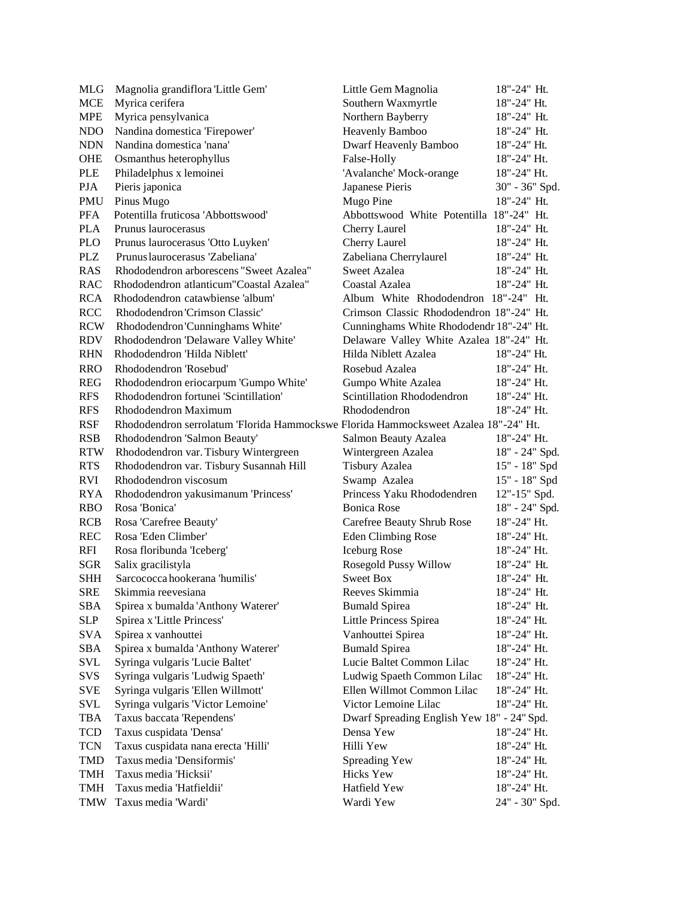| MLG                  | Magnolia grandiflora 'Little Gem'                                                   | Little Gem Magnolia                        | 18"-24" Ht.     |
|----------------------|-------------------------------------------------------------------------------------|--------------------------------------------|-----------------|
| <b>MCE</b>           | Myrica cerifera                                                                     | Southern Waxmyrtle                         | 18"-24" Ht.     |
| <b>MPE</b>           | Myrica pensylvanica                                                                 | Northern Bayberry                          | 18"-24" Ht.     |
| NDO                  | Nandina domestica 'Firepower'                                                       | Heavenly Bamboo                            | 18"-24" Ht.     |
| <b>NDN</b>           | Nandina domestica 'nana'                                                            | Dwarf Heavenly Bamboo                      | 18"-24" Ht.     |
| OHE                  | Osmanthus heterophyllus                                                             | False-Holly                                | 18"-24" Ht.     |
| <b>PLE</b>           | Philadelphus x lemoinei                                                             | 'Avalanche' Mock-orange                    | 18"-24" Ht.     |
| <b>PJA</b>           | Pieris japonica                                                                     | Japanese Pieris                            | 30" - 36" Spd.  |
| <b>PMU</b>           | Pinus Mugo                                                                          | Mugo Pine                                  | 18"-24" Ht.     |
| <b>PFA</b>           | Potentilla fruticosa 'Abbottswood'                                                  | Abbottswood White Potentilla 18"-24" Ht.   |                 |
| <b>PLA</b>           | Prunus laurocerasus                                                                 | Cherry Laurel                              | $18" - 24"$ Ht. |
| <b>PLO</b>           | Prunus laurocerasus 'Otto Luyken'                                                   | Cherry Laurel                              | 18"-24" Ht.     |
| <b>PLZ</b>           | Prunus laurocerasus 'Zabeliana'                                                     | Zabeliana Cherrylaurel                     | 18"-24" Ht.     |
| <b>RAS</b>           | Rhododendron arborescens "Sweet Azalea"                                             | Sweet Azalea                               | 18"-24" Ht.     |
| <b>RAC</b>           | Rhododendron atlanticum"Coastal Azalea"                                             | Coastal Azalea                             | 18"-24" Ht.     |
| <b>RCA</b>           | Rhododendron catawbiense 'album'                                                    | Album White Rhododendron 18"-24" Ht.       |                 |
| <b>RCC</b>           | Rhododendron 'Crimson Classic'                                                      | Crimson Classic Rhododendron 18"-24" Ht.   |                 |
| <b>RCW</b>           | Rhododendron 'Cunninghams White'                                                    | Cunninghams White Rhododendr 18"-24" Ht.   |                 |
| <b>RDV</b>           | Rhododendron 'Delaware Valley White'                                                | Delaware Valley White Azalea 18"-24" Ht.   |                 |
| <b>RHN</b>           | Rhododendron 'Hilda Niblett'                                                        | Hilda Niblett Azalea                       | 18"-24" Ht.     |
| <b>RRO</b>           | Rhododendron 'Rosebud'                                                              | Rosebud Azalea                             | 18"-24" Ht.     |
| <b>REG</b>           | Rhododendron eriocarpum 'Gumpo White'                                               | Gumpo White Azalea                         | 18"-24" Ht.     |
| <b>RFS</b>           | Rhododendron fortunei 'Scintillation'                                               | Scintillation Rhododendron                 | 18"-24" Ht.     |
| <b>RFS</b>           | Rhododendron Maximum                                                                | Rhododendron                               | 18"-24" Ht.     |
| <b>RSF</b>           | Rhododendron serrolatum 'Florida Hammockswe Florida Hammocksweet Azalea 18"-24" Ht. |                                            |                 |
| <b>RSB</b>           | Rhododendron 'Salmon Beauty'                                                        | Salmon Beauty Azalea                       | $18" - 24"$ Ht. |
| <b>RTW</b>           | Rhododendron var. Tisbury Wintergreen                                               | Wintergreen Azalea                         | 18" - 24" Spd.  |
| <b>RTS</b>           | Rhododendron var. Tisbury Susannah Hill                                             | <b>Tisbury Azalea</b>                      | 15" - 18" Spd   |
| <b>RVI</b>           | Rhododendron viscosum                                                               | Swamp Azalea                               | 15" - 18" Spd   |
| <b>RYA</b>           | Rhododendron yakusimanum 'Princess'                                                 | Princess Yaku Rhododendren                 | 12"-15" Spd.    |
| <b>RBO</b>           | Rosa 'Bonica'                                                                       | <b>Bonica Rose</b>                         | 18" - 24" Spd.  |
| <b>RCB</b>           | Rosa 'Carefree Beauty'                                                              | Carefree Beauty Shrub Rose                 | 18"-24" Ht.     |
| <b>REC</b>           | Rosa 'Eden Climber'                                                                 | <b>Eden Climbing Rose</b>                  | 18"-24" Ht.     |
| <b>RFI</b>           | Rosa floribunda 'Iceberg'                                                           | <b>Iceburg Rose</b>                        | 18"-24" Ht.     |
| <b>SGR</b>           | Salix gracilistyla                                                                  | Rosegold Pussy Willow                      | 18"-24" Ht.     |
| <b>SHH</b>           | Sarcococca hookerana 'humilis'                                                      | <b>Sweet Box</b>                           | 18"-24" Ht.     |
| <b>SRE</b>           | Skimmia reevesiana                                                                  | Reeves Skimmia                             | 18"-24" Ht.     |
| SBA                  | Spirea x bumalda 'Anthony Waterer'                                                  | <b>Bumald Spirea</b>                       | 18"-24" Ht.     |
| <b>SLP</b>           | Spirea x 'Little Princess'                                                          | Little Princess Spirea                     | 18"-24" Ht.     |
| <b>SVA</b>           | Spirea x vanhouttei                                                                 | Vanhouttei Spirea                          | 18"-24" Ht.     |
| $\operatorname{SBA}$ | Spirea x bumalda 'Anthony Waterer'                                                  | <b>Bumald Spirea</b>                       | 18"-24" Ht.     |
| SVL                  | Syringa vulgaris 'Lucie Baltet'                                                     | Lucie Baltet Common Lilac                  | 18"-24" Ht.     |
| SVS                  | Syringa vulgaris 'Ludwig Spaeth'                                                    | Ludwig Spaeth Common Lilac                 | 18"-24" Ht.     |
| <b>SVE</b>           | Syringa vulgaris 'Ellen Willmott'                                                   | Ellen Willmot Common Lilac                 | 18"-24" Ht.     |
| <b>SVL</b>           | Syringa vulgaris 'Victor Lemoine'                                                   | Victor Lemoine Lilac                       | 18"-24" Ht.     |
| <b>TBA</b>           | Taxus baccata 'Rependens'                                                           | Dwarf Spreading English Yew 18" - 24" Spd. |                 |
| <b>TCD</b>           | Taxus cuspidata 'Densa'                                                             | Densa Yew                                  | $18" - 24"$ Ht. |
| <b>TCN</b>           | Taxus cuspidata nana erecta 'Hilli'                                                 | Hilli Yew                                  | 18"-24" Ht.     |
| TMD                  | Taxus media 'Densiformis'                                                           | Spreading Yew                              | 18"-24" Ht.     |
| <b>TMH</b>           | Taxus media 'Hicksii'                                                               | <b>Hicks Yew</b>                           | 18"-24" Ht.     |
| <b>TMH</b>           | Taxus media 'Hatfieldii'                                                            | Hatfield Yew                               | 18"-24" Ht.     |
| <b>TMW</b>           | Taxus media 'Wardi'                                                                 | Wardi Yew                                  | 24" - 30" Spd.  |
|                      |                                                                                     |                                            |                 |